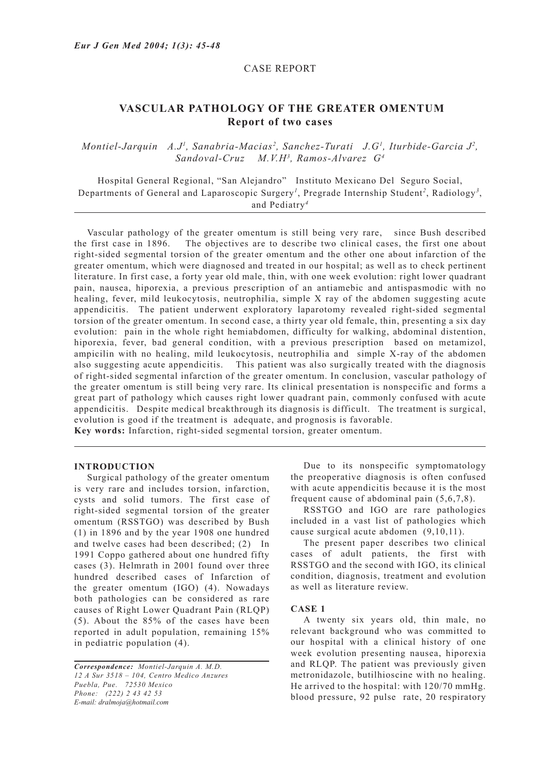### CASE REPORT

# **VASCULAR PATHOLOGY OF THE GREATER OMENTUM Report of two cases**

## *Montiel-Jarquin A.J<sup>1</sup>, Sanabria-Macias<sup>2</sup>, Sanchez-Turati J.G<sup>1</sup>, Iturbide-Garcia J<sup>2</sup>, Sandoval-Cruz M.V.H3 , Ramos-Alvarez G4*

Hospital General Regional, "San Alejandro" Instituto Mexicano Del Seguro Social, Departments of General and Laparoscopic Surgery*<sup>1</sup>* , Pregrade Internship Student*<sup>2</sup>* , Radiology*<sup>3</sup>* , and Pediatry*<sup>4</sup>*

Vascular pathology of the greater omentum is still being very rare, since Bush described the first case in 1896. The objectives are to describe two clinical cases, the first one about right-sided segmental torsion of the greater omentum and the other one about infarction of the greater omentum, which were diagnosed and treated in our hospital; as well as to check pertinent literature. In first case, a forty year old male, thin, with one week evolution: right lower quadrant pain, nausea, hiporexia, a previous prescription of an antiamebic and antispasmodic with no healing, fever, mild leukocytosis, neutrophilia, simple X ray of the abdomen suggesting acute appendicitis. The patient underwent exploratory laparotomy revealed right-sided segmental torsion of the greater omentum. In second case, a thirty year old female, thin, presenting a six day evolution: pain in the whole right hemiabdomen, difficulty for walking, abdominal distention, hiporexia, fever, bad general condition, with a previous prescription based on metamizol, ampicilin with no healing, mild leukocytosis, neutrophilia and simple X-ray of the abdomen also suggesting acute appendicitis. This patient was also surgically treated with the diagnosis of right-sided segmental infarction of the greater omentum. In conclusion, vascular pathology of the greater omentum is still being very rare. Its clinical presentation is nonspecific and forms a great part of pathology which causes right lower quadrant pain, commonly confused with acute appendicitis. Despite medical breakthrough its diagnosis is difficult. The treatment is surgical, evolution is good if the treatment is adequate, and prognosis is favorable. **Key words:** Infarction, right-sided segmental torsion, greater omentum.

#### **INTRODUCTION**

Surgical pathology of the greater omentum is very rare and includes torsion, infarction, cysts and solid tumors. The first case of right-sided segmental torsion of the greater omentum (RSSTGO) was described by Bush (1) in 1896 and by the year 1908 one hundred and twelve cases had been described; (2) In 1991 Coppo gathered about one hundred fifty cases (3). Helmrath in 2001 found over three hundred described cases of Infarction of the greater omentum (IGO) (4). Nowadays both pathologies can be considered as rare causes of Right Lower Quadrant Pain (RLQP) (5). About the 85% of the cases have been reported in adult population, remaining 15% in pediatric population (4).

Due to its nonspecific symptomatology the preoperative diagnosis is often confused with acute appendicitis because it is the most frequent cause of abdominal pain (5,6,7,8).

RSSTGO and IGO are rare pathologies included in a vast list of pathologies which cause surgical acute abdomen (9,10,11).

The present paper describes two clinical cases of adult patients, the first with RSSTGO and the second with IGO, its clinical condition, diagnosis, treatment and evolution as well as literature review.

#### **CASE 1**

A twenty six years old, thin male, no relevant background who was committed to our hospital with a clinical history of one week evolution presenting nausea, hiporexia and RLQP. The patient was previously given metronidazole, butilhioscine with no healing. He arrived to the hospital: with 120/70 mmHg. blood pressure, 92 pulse rate, 20 respiratory

*Correspondence: Montiel-Jarquin A. M.D. 12 A Sur 3518 – 104, Centro Medico Anzures Puebla, Pue. 72530 Mexico Phone: (222) 2 43 42 53 E-mail: dralmoja@hotmail.com*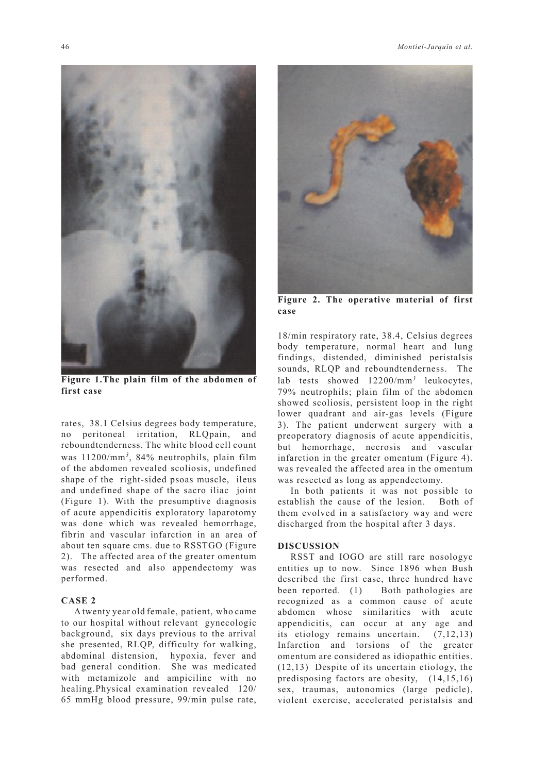

**Figure 1.The plain film of the abdomen of first case**

rates, 38.1 Celsius degrees body temperature, no peritoneal irritation, RLQpain, and reboundtenderness. The white blood cell count was 11200/mm*<sup>3</sup>* , 84% neutrophils, plain film of the abdomen revealed scoliosis, undefined shape of the right-sided psoas muscle, ileus and undefined shape of the sacro iliac joint (Figure 1). With the presumptive diagnosis of acute appendicitis exploratory laparotomy was done which was revealed hemorrhage, fibrin and vascular infarction in an area of about ten square cms. due to RSSTGO (Figure 2). The affected area of the greater omentum was resected and also appendectomy was performed.

#### **CASE 2**

A twenty year old female, patient, who came to our hospital without relevant gynecologic background, six days previous to the arrival she presented, RLQP, difficulty for walking, abdominal distension, hypoxia, fever and bad general condition. She was medicated with metamizole and ampiciline with no healing.Physical examination revealed 120/ 65 mmHg blood pressure, 99/min pulse rate,



**Figure 2. The operative material of first case**

18/min respiratory rate, 38.4, Celsius degrees body temperature, normal heart and lung findings, distended, diminished peristalsis sounds, RLQP and reboundtenderness. The lab tests showed 12200/mm*<sup>3</sup>* leukocytes, 79% neutrophils; plain film of the abdomen showed scoliosis, persistent loop in the right lower quadrant and air-gas levels (Figure 3). The patient underwent surgery with a preoperatory diagnosis of acute appendicitis, but hemorrhage, necrosis and vascular infarction in the greater omentum (Figure 4). was revealed the affected area in the omentum was resected as long as appendectomy.

In both patients it was not possible to establish the cause of the lesion. Both of them evolved in a satisfactory way and were discharged from the hospital after 3 days.

#### **DISCUSSION**

RSST and IOGO are still rare nosologyc entities up to now. Since 1896 when Bush described the first case, three hundred have been reported. (1) Both pathologies are recognized as a common cause of acute abdomen whose similarities with acute appendicitis, can occur at any age and its etiology remains uncertain. (7,12,13) Infarction and torsions of the greater omentum are considered as idiopathic entities. (12,13) Despite of its uncertain etiology, the predisposing factors are obesity, (14,15,16) sex, traumas, autonomics (large pedicle), violent exercise, accelerated peristalsis and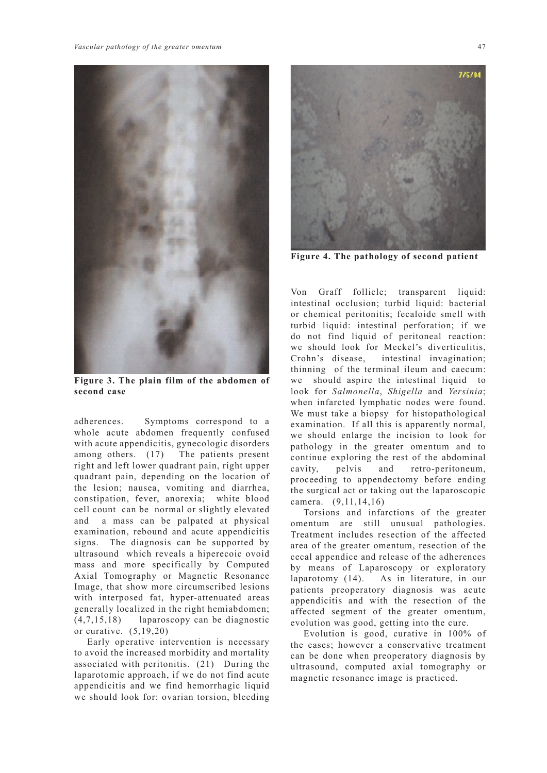

**Figure 3. The plain film of the abdomen of second case**

adherences. Symptoms correspond to a whole acute abdomen frequently confused with acute appendicitis, gynecologic disorders among others. (17) The patients present right and left lower quadrant pain, right upper quadrant pain, depending on the location of the lesion; nausea, vomiting and diarrhea, constipation, fever, anorexia; white blood cell count can be normal or slightly elevated and a mass can be palpated at physical examination, rebound and acute appendicitis signs. The diagnosis can be supported by ultrasound which reveals a hiperecoic ovoid mass and more specifically by Computed Axial Tomography or Magnetic Resonance Image, that show more circumscribed lesions with interposed fat, hyper-attenuated areas generally localized in the right hemiabdomen; (4,7,15,18) laparoscopy can be diagnostic or curative. (5,19,20)

Early operative intervention is necessary to avoid the increased morbidity and mortality associated with peritonitis. (21) During the laparotomic approach, if we do not find acute appendicitis and we find hemorrhagic liquid we should look for: ovarian torsion, bleeding



**Figure 4. The pathology of second patient**

Von Graff follicle; transparent liquid: intestinal occlusion; turbid liquid: bacterial or chemical peritonitis; fecaloide smell with turbid liquid: intestinal perforation; if we do not find liquid of peritoneal reaction: we should look for Meckel's diverticulitis, Crohn's disease, intestinal invagination; thinning of the terminal ileum and caecum: we should aspire the intestinal liquid to look for *Salmonella*, *Shigella* and *Yersinia*; when infarcted lymphatic nodes were found. We must take a biopsy for histopathological examination. If all this is apparently normal, we should enlarge the incision to look for pathology in the greater omentum and to continue exploring the rest of the abdominal cavity, pelvis and retro-peritoneum, proceeding to appendectomy before ending the surgical act or taking out the laparoscopic camera. (9,11,14,16)

Torsions and infarctions of the greater omentum are still unusual pathologies. Treatment includes resection of the affected area of the greater omentum, resection of the cecal appendice and release of the adherences by means of Laparoscopy or exploratory laparotomy (14). As in literature, in our patients preoperatory diagnosis was acute appendicitis and with the resection of the affected segment of the greater omentum, evolution was good, getting into the cure.

Evolution is good, curative in 100% of the cases; however a conservative treatment can be done when preoperatory diagnosis by ultrasound, computed axial tomography or magnetic resonance image is practiced.